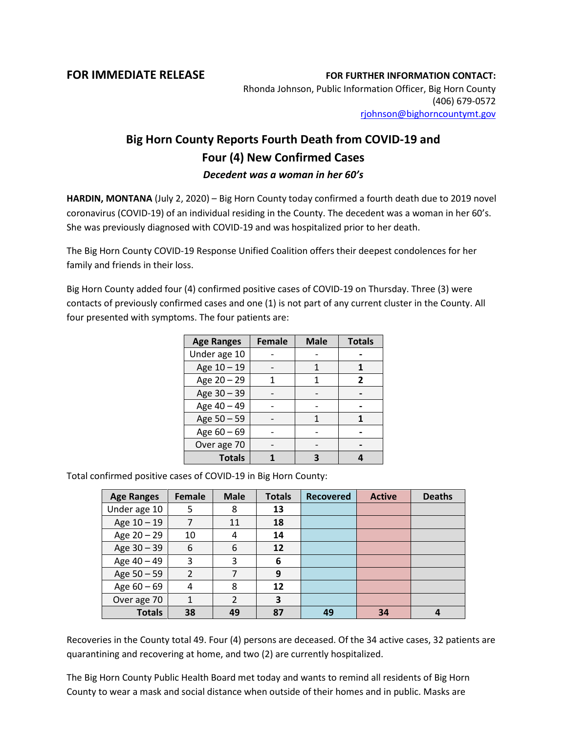**FOR IMMEDIATE RELEASE FOR FURTHER INFORMATION CONTACT:** Rhonda Johnson, Public Information Officer, Big Horn County (406) 679-0572 [rjohnson@bighorncountymt.gov](mailto:rjohnson@bighorncountymt.gov)

## **Big Horn County Reports Fourth Death from COVID-19 and Four (4) New Confirmed Cases** *Decedent was a woman in her 60's*

**HARDIN, MONTANA** (July 2, 2020) – Big Horn County today confirmed a fourth death due to 2019 novel coronavirus (COVID-19) of an individual residing in the County. The decedent was a woman in her 60's. She was previously diagnosed with COVID-19 and was hospitalized prior to her death.

The Big Horn County COVID-19 Response Unified Coalition offers their deepest condolences for her family and friends in their loss.

Big Horn County added four (4) confirmed positive cases of COVID-19 on Thursday. Three (3) were contacts of previously confirmed cases and one (1) is not part of any current cluster in the County. All four presented with symptoms. The four patients are:

| <b>Age Ranges</b> | <b>Female</b> | <b>Male</b> | <b>Totals</b> |
|-------------------|---------------|-------------|---------------|
| Under age 10      |               |             |               |
| Age 10 - 19       |               |             |               |
| Age 20 - 29       |               |             | 2             |
| Age 30 - 39       |               |             |               |
| Age 40 - 49       |               |             |               |
| Age 50 - 59       |               |             |               |
| Age $60 - 69$     |               |             |               |
| Over age 70       |               |             |               |
| <b>Totals</b>     |               |             |               |

Total confirmed positive cases of COVID-19 in Big Horn County:

| <b>Age Ranges</b> | Female         | <b>Male</b> | <b>Totals</b> | <b>Recovered</b> | <b>Active</b> | <b>Deaths</b> |
|-------------------|----------------|-------------|---------------|------------------|---------------|---------------|
| Under age 10      | 5              | 8           | 13            |                  |               |               |
| Age 10 - 19       | 7              | 11          | 18            |                  |               |               |
| Age 20 - 29       | 10             | 4           | 14            |                  |               |               |
| Age 30 - 39       | 6              | 6           | 12            |                  |               |               |
| Age 40 - 49       | 3              | 3           | 6             |                  |               |               |
| Age 50 - 59       | $\overline{2}$ |             | 9             |                  |               |               |
| Age $60 - 69$     | 4              | 8           | 12            |                  |               |               |
| Over age 70       | 1              | 2           | 3             |                  |               |               |
| <b>Totals</b>     | 38             | 49          | 87            | 49               | 34            |               |

Recoveries in the County total 49. Four (4) persons are deceased. Of the 34 active cases, 32 patients are quarantining and recovering at home, and two (2) are currently hospitalized.

The Big Horn County Public Health Board met today and wants to remind all residents of Big Horn County to wear a mask and social distance when outside of their homes and in public. Masks are